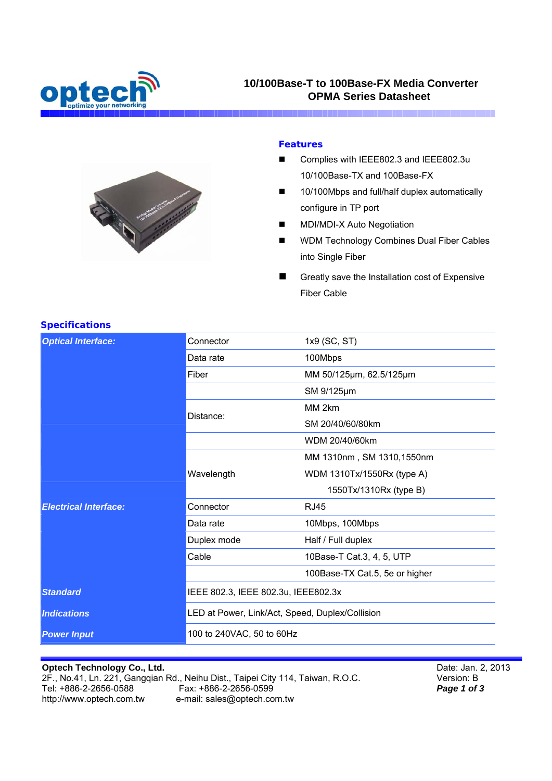

# **10/100Base-T to 100Base-FX Media Converter OPMA Series Datasheet**



#### **Features**

- Complies with IEEE802.3 and IEEE802.3u 10/100Base-TX and 100Base-FX
- 10/100Mbps and full/half duplex automatically configure in TP port
- MDI/MDI-X Auto Negotiation
- **NOM Technology Combines Dual Fiber Cables** into Single Fiber
- Greatly save the Installation cost of Expensive Fiber Cable

| <b>Optical Interface:</b>    | Connector                                       | 1x9 (SC, ST)                   |
|------------------------------|-------------------------------------------------|--------------------------------|
|                              | Data rate                                       | 100Mbps                        |
|                              | Fiber                                           | MM 50/125µm, 62.5/125µm        |
|                              |                                                 | SM 9/125µm                     |
|                              | Distance:                                       | MM 2km                         |
|                              |                                                 | SM 20/40/60/80km               |
| <b>Electrical Interface:</b> |                                                 | WDM 20/40/60km                 |
|                              |                                                 | MM 1310nm, SM 1310,1550nm      |
|                              | Wavelength                                      | WDM 1310Tx/1550Rx (type A)     |
|                              |                                                 | 1550Tx/1310Rx (type B)         |
|                              | Connector                                       | <b>RJ45</b>                    |
|                              | Data rate                                       | 10Mbps, 100Mbps                |
|                              | Duplex mode                                     | Half / Full duplex             |
|                              | Cable                                           | 10Base-T Cat.3, 4, 5, UTP      |
|                              |                                                 | 100Base-TX Cat.5, 5e or higher |
| <b>Standard</b>              | IEEE 802.3, IEEE 802.3u, IEEE802.3x             |                                |
| <b>Indications</b>           | LED at Power, Link/Act, Speed, Duplex/Collision |                                |
| <b>Power Input</b>           | 100 to 240VAC, 50 to 60Hz                       |                                |

#### **Specifications**

### **Optech Technology Co., Ltd.**

2F., No.41, Ln. 221, Gangqian Rd., Neihu Dist., Taipei City 114, Taiwan, R.O.C.<br>Tel: +886-2-2656-0588 Fax: +886-2-2656-0599 Fax: +886-2-2656-0599 http://www.optech.com.tw e-mail: sales@optech.com.tw

Date: Jan. 2, 2013 Version: B *Page 1 of 3*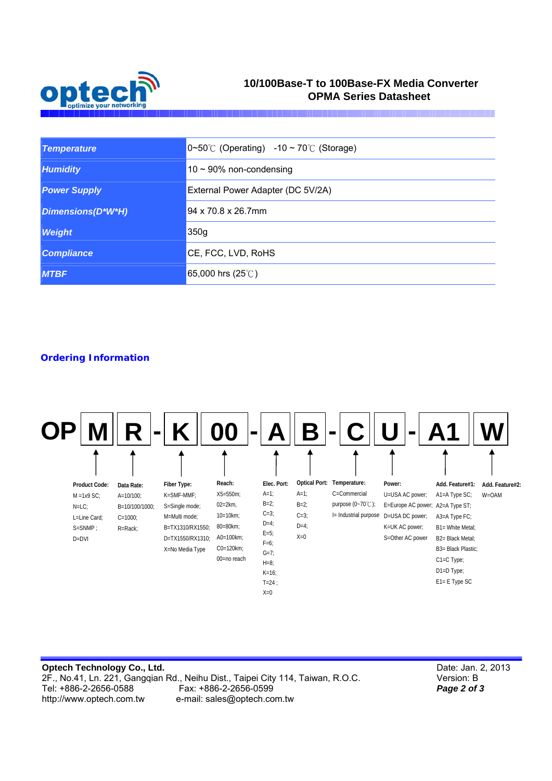

# **10/100Base-T to 100Base-FX Media Converter OPMA Series Datasheet**

| <b>Temperature</b>  | $[0~50^{\circ}C$ (Operating) -10 ~ 70 $\circ C$ (Storage) |  |
|---------------------|-----------------------------------------------------------|--|
| <b>Humidity</b>     | $10 \sim 90\%$ non-condensing                             |  |
| <b>Power Supply</b> | External Power Adapter (DC 5V/2A)                         |  |
| Dimensions(D*W*H)   | 94 x 70.8 x 26.7mm                                        |  |
| <b>Weight</b>       | 350g                                                      |  |
| <b>Compliance</b>   | CE, FCC, LVD, RoHS                                        |  |
| <b>MTBF</b>         | 65,000 hrs $(25^{\circ}$ C)                               |  |

## **Ordering Information**



| Optech Technology Co., Ltd. |                                                                                 |
|-----------------------------|---------------------------------------------------------------------------------|
|                             | 2F., No.41, Ln. 221, Ganggian Rd., Neihu Dist., Taipei City 114, Taiwan, R.O.C. |
| Tel: +886-2-2656-0588       | Fax: +886-2-2656-0599                                                           |
| http://www.optech.com.tw    | e-mail: sales@optech.com.tw                                                     |

Date: Jan. 2, 2013 Version: B *Page 2 of 3*